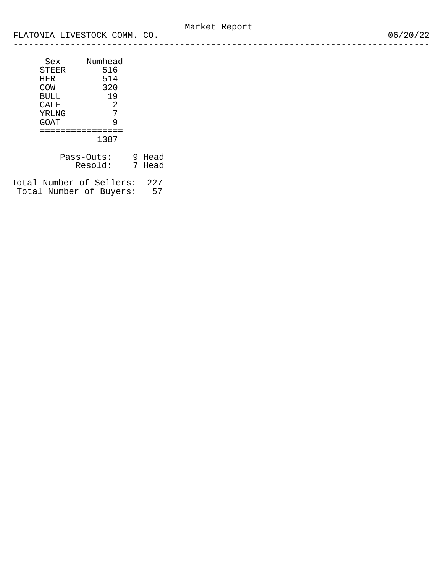| Sex   | Numhead |
|-------|---------|
| STEER | 516     |
| HFR   | 514     |
| COW   | 320     |
| BULL  | 19      |
| CALF  | 2       |
| YRLNG | 7       |
| GOAT  | 9       |
|       |         |
|       | 1387    |

| Pass-Outs: | 9 Head |
|------------|--------|
| Resold:    | 7 Head |

Total Number of Sellers: 227 Total Number of Buyers: 57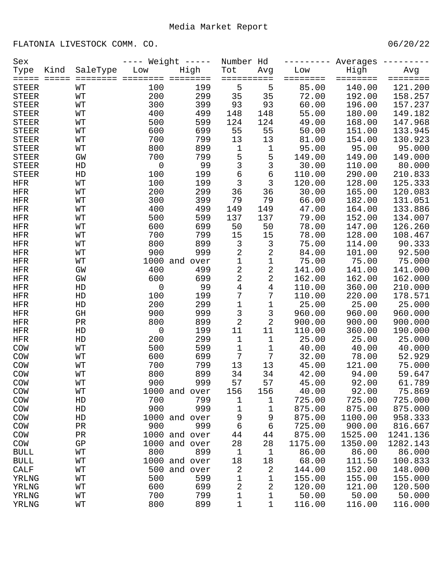FLATONIA LIVESTOCK COMM. CO. 06/20/22

| Sex          |                 |                  |                     | Weight $---$  | Number Hd      |             |          | Averages |          |
|--------------|-----------------|------------------|---------------------|---------------|----------------|-------------|----------|----------|----------|
| Type         | Kind            | SaleType         | Low                 | High          | Tot            | Avg         | Low      | High     | Avg      |
| =====        | $=$ $=$ $=$ $=$ | ========         |                     | $=$ $=$ $=$   | =======        | $=$ $=$ $=$ | ======== | ======== | ======== |
| <b>STEER</b> |                 | WΤ               | 100                 | 199           | 5              | 5           | 85.00    | 140.00   | 121.200  |
| <b>STEER</b> |                 | WТ               | 200                 | 299           | 35             | 35          | 72.00    | 192.00   | 158.257  |
| <b>STEER</b> |                 | WТ               | 300                 | 399           | 93             | 93          | 60.00    | 196.00   | 157.237  |
| <b>STEER</b> |                 | WТ               | 400                 | 499           | 148            | 148         | 55.00    | 180.00   | 149.182  |
| <b>STEER</b> |                 | WТ               | 500                 | 599           | 124            | 124         | 49.00    | 168.00   | 147.968  |
| <b>STEER</b> |                 | WТ               | 600                 | 699           | 55             | 55          | 50.00    | 151.00   | 133.945  |
| <b>STEER</b> |                 | WТ               | 700                 | 799           | 13             | 13          | 81.00    | 154.00   | 130.923  |
| <b>STEER</b> |                 | WТ               | 800                 | 899           | $\mathbf 1$    | 1           | 95.00    | 95.00    | 95.000   |
| <b>STEER</b> |                 | GW               | 700                 | 799           | 5              | 5           | 149.00   | 149.00   | 149.000  |
| <b>STEER</b> |                 | HD               | $\mathsf 0$         | 99            | 3              | 3           | 30.00    | 110.00   | 80.000   |
| <b>STEER</b> |                 | HD               | 100                 | 199           | 6              | 6           | 110.00   | 290.00   | 210.833  |
| <b>HFR</b>   |                 | WТ               | 100                 | 199           | 3              | 3           | 120.00   | 128.00   | 125.333  |
| <b>HFR</b>   |                 | WТ               | 200                 | 299           | 36             | 36          | 30.00    | 165.00   | 120.083  |
| <b>HFR</b>   |                 | WТ               | 300                 | 399           | 79             | 79          | 66.00    | 182.00   | 131.051  |
| <b>HFR</b>   |                 | WТ               | 400                 | 499           | 149            | 149         | 47.00    | 164.00   | 133.886  |
| <b>HFR</b>   |                 | WТ               | 500                 | 599           | 137            | 137         | 79.00    | 152.00   | 134.007  |
| <b>HFR</b>   |                 | WТ               | 600                 | 699           | 50             | 50          | 78.00    | 147.00   | 126.260  |
| <b>HFR</b>   |                 | WТ               | 700                 | 799           | 15             | 15          | 78.00    | 128.00   | 108.467  |
| <b>HFR</b>   |                 | WТ               | 800                 | 899           | 3              | 3           | 75.00    | 114.00   | 90.333   |
| <b>HFR</b>   |                 | WТ               | 900                 | 999           | 2              | $\mathbf 2$ | 84.00    | 101.00   | 92.500   |
| <b>HFR</b>   |                 | WТ               |                     | 1000 and over | $\mathbf 1$    | $\mathbf 1$ | 75.00    | 75.00    | 75.000   |
| <b>HFR</b>   |                 | GW               | 400                 | 499           | $\overline{a}$ | 2           | 141.00   | 141.00   | 141.000  |
| <b>HFR</b>   |                 | GW               | 600                 | 699           | $\overline{a}$ | 2           | 162.00   | 162.00   | 162.000  |
| <b>HFR</b>   |                 | HD               | $\mathsf{O}\xspace$ | 99            | 4              | 4           | 110.00   | 360.00   | 210.000  |
| <b>HFR</b>   |                 | HD               | 100                 | 199           | 7              | 7           | 110.00   | 220.00   | 178.571  |
| <b>HFR</b>   |                 | HD               | 200                 | 299           | $\mathbf 1$    | 1           | 25.00    | 25.00    | 25.000   |
| <b>HFR</b>   |                 | GH               | 900                 | 999           | 3              | 3           | 960.00   | 960.00   | 960.000  |
| <b>HFR</b>   |                 | $\rm PR$         | 800                 | 899           | 2              | 2           | 900.00   | 900.00   | 900.000  |
| <b>HFR</b>   |                 | HD               | $\mathsf 0$         | 199           | 11             | 11          | 110.00   | 360.00   | 190.000  |
| <b>HFR</b>   |                 | HD               | 200                 | 299           | $\mathbf 1$    | 1           | 25.00    | 25.00    | 25.000   |
| COW          |                 | WТ               | 500                 | 599           | $\mathbf 1$    | 1           | 40.00    | 40.00    | 40.000   |
| COW          |                 | WТ               | 600                 | 699           | 7              | 7           | 32.00    | 78.00    | 52.929   |
| COW          |                 | WT               | 700                 | 799           | 13             | 13          | 45.00    | 121.00   | 75.000   |
| COW          |                 | WT               | 800                 | 899           | 34             | 34          | 42.00    | 94.00    | 59.647   |
| COM          |                 | $\mathtt{WT}$    | 900                 | 999           | 57             | 57          | 45.00    | 92.00    | 61.789   |
| COM          |                 | WΤ               |                     | 1000 and over | 156            | 156         | 40.00    | 92.00    | 75.869   |
| COM          |                 | HD               | 700                 | 799           | 1              | 1           | 725.00   | 725.00   | 725.000  |
| COM          |                 | HD               | 900                 | 999           | 1              | 1           | 875.00   | 875.00   | 875.000  |
| COM          |                 | HD               |                     | 1000 and over | 9              | 9           | 875.00   | 1100.00  | 958.333  |
| COM          |                 | PR               | 900                 | 999           | 6              | 6           | 725.00   | 900.00   | 816.667  |
|              |                 |                  |                     | 1000 and over |                |             | 875.00   | 1525.00  | 1241.136 |
| COM          |                 | PR<br>${\rm GP}$ |                     | 1000 and over | 44             | 44          | 1175.00  | 1350.00  | 1282.143 |
| COM          |                 |                  | 800                 | 899           | 28             | 28          | 86.00    | 86.00    | 86.000   |
| <b>BULL</b>  |                 | WΤ               |                     |               | 1              | 1           |          |          |          |
| <b>BULL</b>  |                 | WΤ               | 500                 | 1000 and over | 18             | 18          | 68.00    | 111.50   | 100.833  |
| <b>CALF</b>  |                 | WΤ               |                     | and over      | 2              | 2           | 144.00   | 152.00   | 148.000  |
| YRLNG        |                 | WΤ               | 500                 | 599           | 1              | 1           | 155.00   | 155.00   | 155.000  |
| YRLNG        |                 | WΤ               | 600                 | 699           | 2              | 2           | 120.00   | 121.00   | 120.500  |
| YRLNG        |                 | WΤ               | 700                 | 799           | 1              | 1           | 50.00    | 50.00    | 50.000   |
| YRLNG        |                 | WТ               | 800                 | 899           | $\mathbf 1$    | 1           | 116.00   | 116.00   | 116.000  |